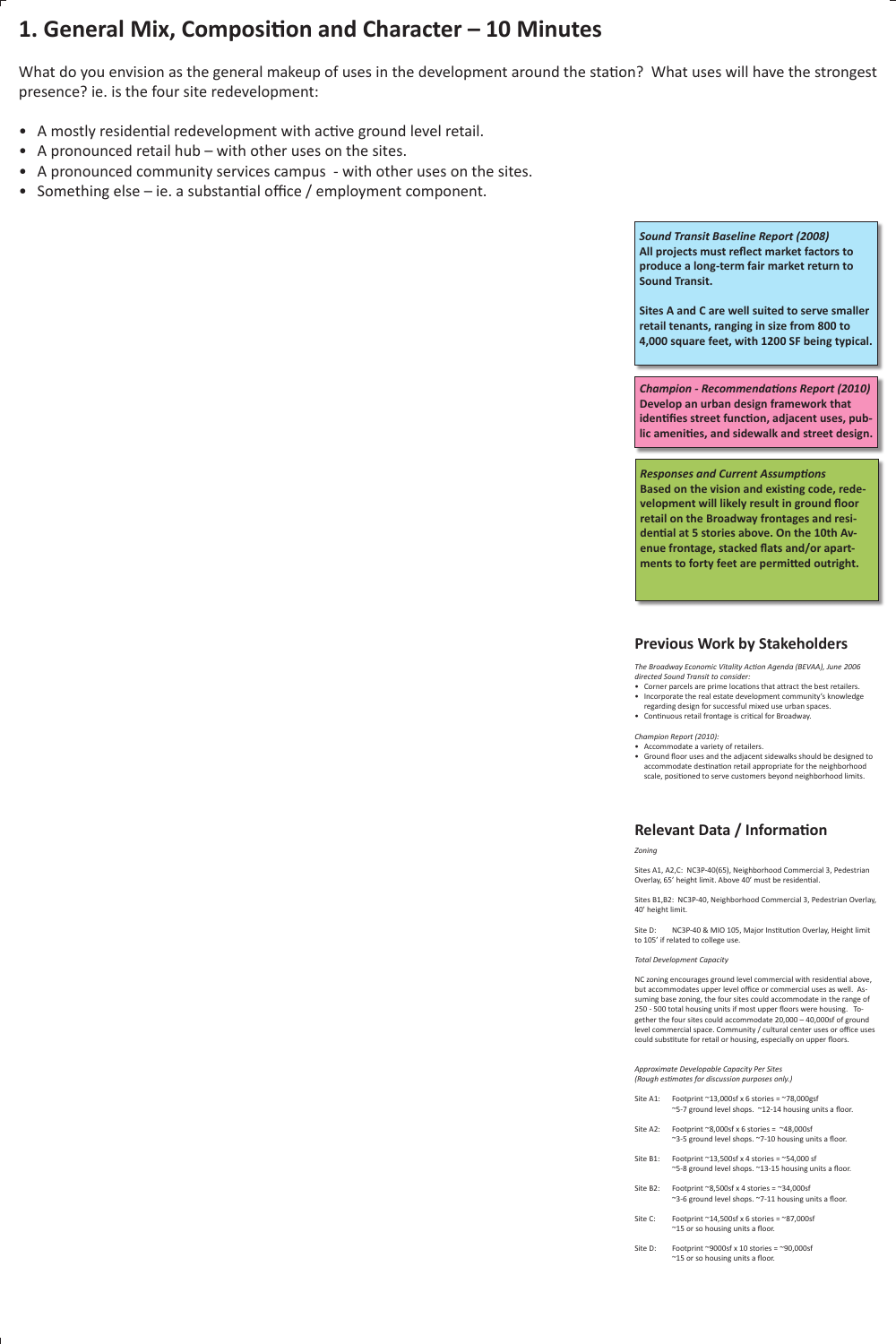# **1. General Mix, Composition and Character – 10 Minutes**

What do you envision as the general makeup of uses in the development around the station? What uses will have the strongest presence? ie. is the four site redevelopment:

- Corner parcels are prime locations that attract the best retailers. •
- Incorporate the real estate development community's knowledge regarding design for successful mixed use urban spaces.
- Continuous retail frontage is critical for Broadway.
- A mostly residential redevelopment with active ground level retail.
- A pronounced retail hub with other uses on the sites.
- A pronounced community services campus with other uses on the sites.
- Something else ie. a substantial office / employment component.

*The Broadway Economic Vitality Action Agenda (BEVAA), June 2006 directed Sound Transit to consider:*

*Champion Report (2010):*

- Accommodate a variety of retailers. •
- Ground floor uses and the adjacent sidewalks should be designed to accommodate destination retail appropriate for the neighborhood scale, positioned to serve customers beyond neighborhood limits.

### **Previous Work by Stakeholders**

*Zoning*

Sites A1, A2,C: NC3P-40(65), Neighborhood Commercial 3, Pedestrian Overlay, 65' height limit. Above 40' must be residential.

Sites B1,B2: NC3P-40, Neighborhood Commercial 3, Pedestrian Overlay, 40' height limit.

- Site A1: Footprint  $\sim$ 13,000sf x 6 stories =  $\sim$ 78,000gsf ~5-7 ground level shops. ~12-14 housing units a floor.
- Site A2: Footprint  $\approx$ 8,000sf x 6 stories =  $\approx$ 48,000sf ~3-5 ground level shops. ~7-10 housing units a floor.
- Site B1: Footprint  $\sim$ 13,500sf x 4 stories =  $\sim$ 54,000 sf ~5-8 ground level shops. ~13-15 housing units a floor.
- Site B2: Footprint  $\approx$ 8,500sf x 4 stories =  $\approx$ 34,000sf ~3-6 ground level shops. ~7-11 housing units a floor.
- Site C: Footprint  $\sim$ 14,500sf x 6 stories =  $\sim$ 87,000sf ~15 or so housing units a floor.
- Site D: Footprint  $\sim$ 9000sf x 10 stories =  $\sim$ 90,000sf ~15 or so housing units a floor.

Site D: NC3P-40 & MIO 105, Major Institution Overlay, Height limit

to 105' if related to college use.

*Total Development Capacity*

NC zoning encourages ground level commercial with residential above, but accommodates upper level office or commercial uses as well. Assuming base zoning, the four sites could accommodate in the range of 250 - 500 total housing units if most upper floors were housing. Together the four sites could accommodate 20,000 – 40,000sf of ground level commercial space. Community / cultural center uses or office uses could substitute for retail or housing, especially on upper floors.

*Approximate Developable Capacity Per Sites (Rough estimates for discussion purposes only.)* 

## **Relevant Data / Information**

*Sound Transit Baseline Report (2008)* **All projects must reflect market factors to produce a long-term fair market return to Sound Transit.** 

**Sites A and C are well suited to serve smaller retail tenants, ranging in size from 800 to 4,000 square feet, with 1200 SF being typical.**

*Champion - Recommendations Report (2010)* **Develop an urban design framework that identifies street function, adjacent uses, public amenities, and sidewalk and street design.**

*Responses and Current Assumptions* **Based on the vision and existing code, redevelopment will likely result in ground floor retail on the Broadway frontages and residential at 5 stories above. On the 10th Avenue frontage, stacked flats and/or apartments to forty feet are permitted outright.**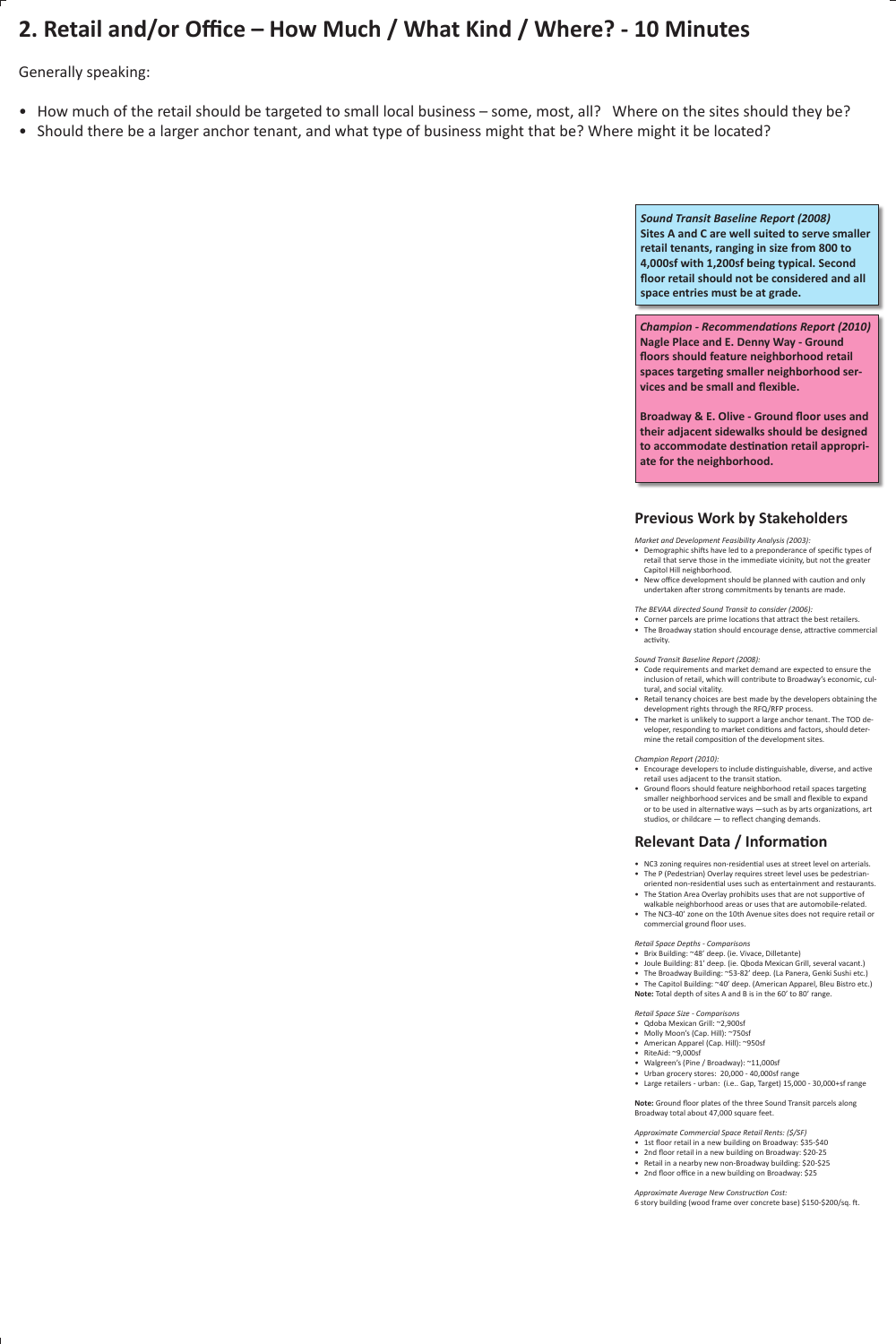# **2. Retail and/or Office – How Much / What Kind / Where? - 10 Minutes**

Generally speaking:

- How much of the retail should be targeted to small local business some, most, all? Where on the sites should they be?
- Should there be a larger anchor tenant, and what type of business might that be? Where might it be located?

- Demographic shifts have led to a preponderance of specific types of retail that serve those in the immediate vicinity, but not the greater Capitol Hill neighborhood.
- New office development should be planned with caution and only undertaken after strong commitments by tenants are made.

*Market and Development Feasibility Analysis (2003):*

*The BEVAA directed Sound Transit to consider (2006):*

- Corner parcels are prime locations that attract the best retailers. •
- The Broadway station should encourage dense, attractive commercial activity.

*Sound Transit Baseline Report (2008):*

- Encourage developers to include distinguishable, diverse, and active retail uses adjacent to the transit station.
- Ground floors should feature neighborhood retail spaces targeting smaller neighborhood services and be small and flexible to expand or to be used in alternative ways —such as by arts organizations, art studios, or childcare — to reflect changing demands.

- NC3 zoning requires non-residential uses at street level on arterials.
- The P (Pedestrian) Overlay requires street level uses be pedestrianoriented non-residential uses such as entertainment and restaurants.
- The Station Area Overlay prohibits uses that are not supportive of walkable neighborhood areas or uses that are automobile-related.
- The NC3-40' zone on the 10th Avenue sites does not require retail or commercial ground floor uses.
- Code requirements and market demand are expected to ensure the inclusion of retail, which will contribute to Broadway's economic, cultural, and social vitality.
- Retail tenancy choices are best made by the developers obtaining the development rights through the RFQ/RFP process.
- The market is unlikely to support a large anchor tenant. The TOD developer, responding to market conditions and factors, should determine the retail composition of the development sites.

• The Capitol Building: ~40' deep. (American Apparel, Bleu Bistro etc.) **Note:** Total depth of sites A and B is in the 60' to 80' range.

*Champion Report (2010):*

### **Previous Work by Stakeholders**

*Retail Space Depths - Comparisons*

- Brix Building: ~48' deep. (ie. Vivace, Dilletante)
- Joule Building: 81' deep. (ie. Qboda Mexican Grill, several vacant.)
- The Broadway Building: ~53-82' deep. (La Panera, Genki Sushi etc.)

*Retail Space Size - Comparisons*

- Qdoba Mexican Grill: ~2,900sf
- Molly Moon's (Cap. Hill): ~750sf
- American Apparel (Cap. Hill): ~950sf
- RiteAid: ~9,000sf
- Walgreen's (Pine / Broadway): ~11,000sf
- Urban grocery stores: 20,000 40,000sf range •
- Large retailers urban: (i.e.. Gap, Target) 15,000 30,000+sf range

**Note:** Ground floor plates of the three Sound Transit parcels along Broadway total about 47,000 square feet.

*Approximate Commercial Space Retail Rents: (\$/SF)* 

- 1st floor retail in a new building on Broadway: \$35-\$40
- 2nd floor retail in a new building on Broadway: \$20-25
- Retail in a nearby new non-Broadway building: \$20-\$25
- 2nd floor office in a new building on Broadway: \$25

*Approximate Average New Construction Cost:* 6 story building (wood frame over concrete base) \$150-\$200/sq. ft.

## **Relevant Data / Information**

*Sound Transit Baseline Report (2008)* **Sites A and C are well suited to serve smaller retail tenants, ranging in size from 800 to 4,000sf with 1,200sf being typical. Second floor retail should not be considered and all space entries must be at grade.** 

*Champion - Recommendations Report (2010)* **Nagle Place and E. Denny Way - Ground floors should feature neighborhood retail spaces targeting smaller neighborhood services and be small and flexible.**

**Broadway & E. Olive - Ground floor uses and their adjacent sidewalks should be designed to accommodate destination retail appropriate for the neighborhood.**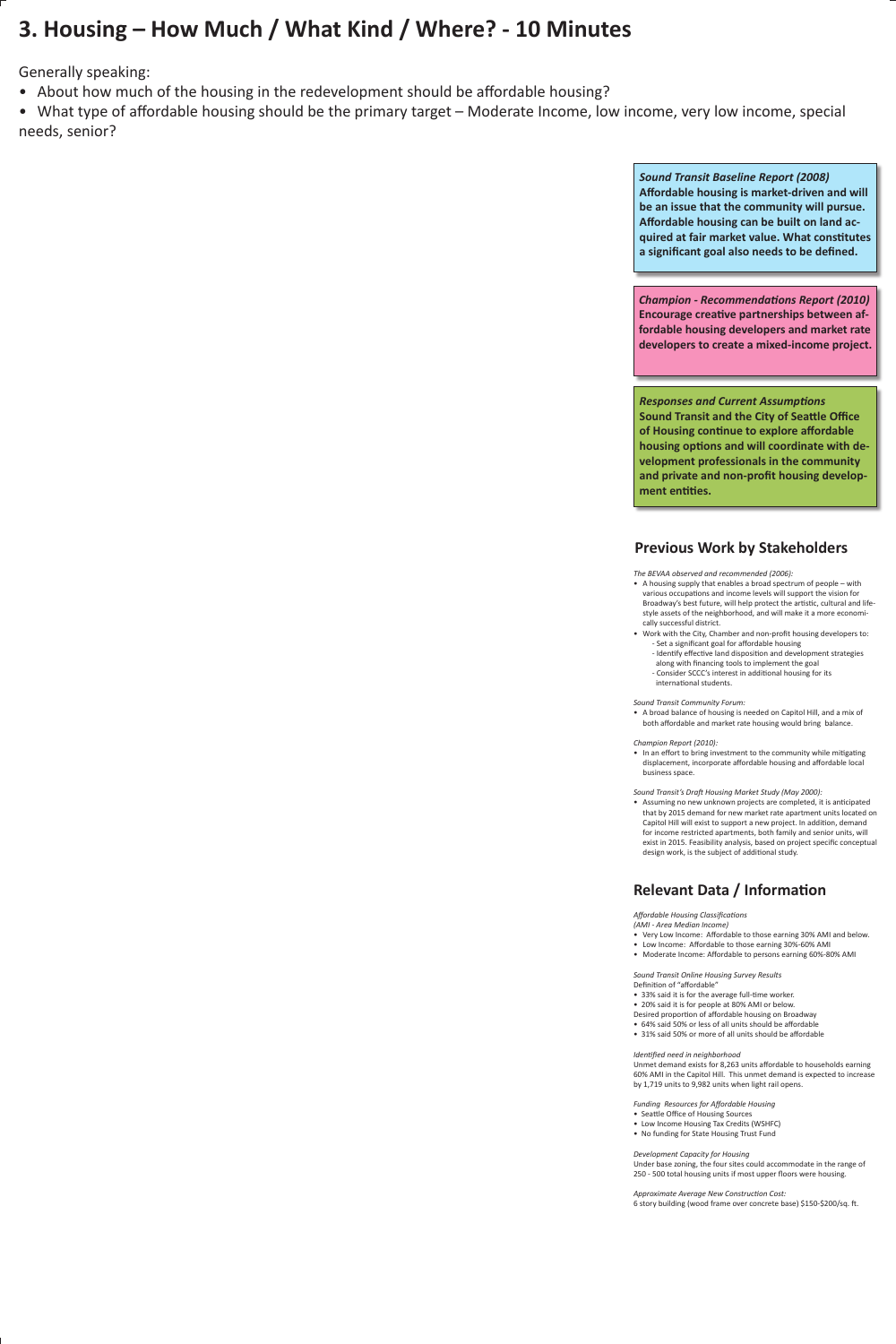# **3. Housing – How Much / What Kind / Where? - 10 Minutes**

Generally speaking:

- About how much of the housing in the redevelopment should be affordable housing?
- What type of affordable housing should be the primary target Moderate Income, low income, very low income, special needs, senior?

*The BEVAA observed and recommended (2006):*

- A housing supply that enables a broad spectrum of people with various occupations and income levels will support the vision for Broadway's best future, will help protect the artistic, cultural and lifestyle assets of the neighborhood, and will make it a more economically successful district.
- Work with the City, Chamber and non-profit housing developers to: - Set a significant goal for affordable housing
	- Identify effective land disposition and development strategies along with financing tools to implement the goal
	- Consider SCCC's interest in additional housing for its international students.

• A broad balance of housing is needed on Capitol Hill, and a mix of both affordable and market rate housing would bring balance.

• In an effort to bring investment to the community while mitigating displacement, incorporate affordable housing and affordable local business space.

*Sound Transit Community Forum:*

*Champion Report (2010):*

- Very Low Income: Affordable to those earning 30% AMI and below. •
- Low Income: Affordable to those earning 30%-60% AMI
- Moderate Income: Affordable to persons earning 60%-80% AMI

*Sound Transit's Draft Housing Market Study (May 2000):*

Assuming no new unknown projects are completed, it is anticipated • that by 2015 demand for new market rate apartment units located on Capitol Hill will exist to support a new project. In addition, demand for income restricted apartments, both family and senior units, will exist in 2015. Feasibility analysis, based on project specific conceptual design work, is the subject of additional study.

### **Previous Work by Stakeholders**

*Sound Transit Baseline Report (2008)* **Affordable housing is market-driven and will be an issue that the community will pursue. Affordable housing can be built on land acquired at fair market value. What constitutes a significant goal also needs to be defined.**

*Champion - Recommendations Report (2010)* **Encourage creative partnerships between affordable housing developers and market rate developers to create a mixed-income project.**

*Responses and Current Assumptions* **Sound Transit and the City of Seattle Office of Housing continue to explore affordable housing options and will coordinate with development professionals in the community and private and non-profit housing development entities.**

*Affordable Housing Classifications (AMI - Area Median Income)*

*Sound Transit Online Housing Survey Results*  Definition of "affordable"

• 33% said it is for the average full-time worker.

• 20% said it is for people at 80% AMI or below. Desired proportion of affordable housing on Broadway

- 64% said 50% or less of all units should be affordable
- 31% said 50% or more of all units should be affordable

*Identified need in neighborhood* 

Unmet demand exists for 8,263 units affordable to households earning 60% AMI in the Capitol Hill. This unmet demand is expected to increase by 1,719 units to 9,982 units when light rail opens.

*Funding Resources for Affordable Housing*

- Seattle Office of Housing Sources
- Low Income Housing Tax Credits (WSHFC)
- No funding for State Housing Trust Fund

*Development Capacity for Housing*

Under base zoning, the four sites could accommodate in the range of 250 - 500 total housing units if most upper floors were housing.

*Approximate Average New Construction Cost:* 6 story building (wood frame over concrete base) \$150-\$200/sq. ft.

# **Relevant Data / Information**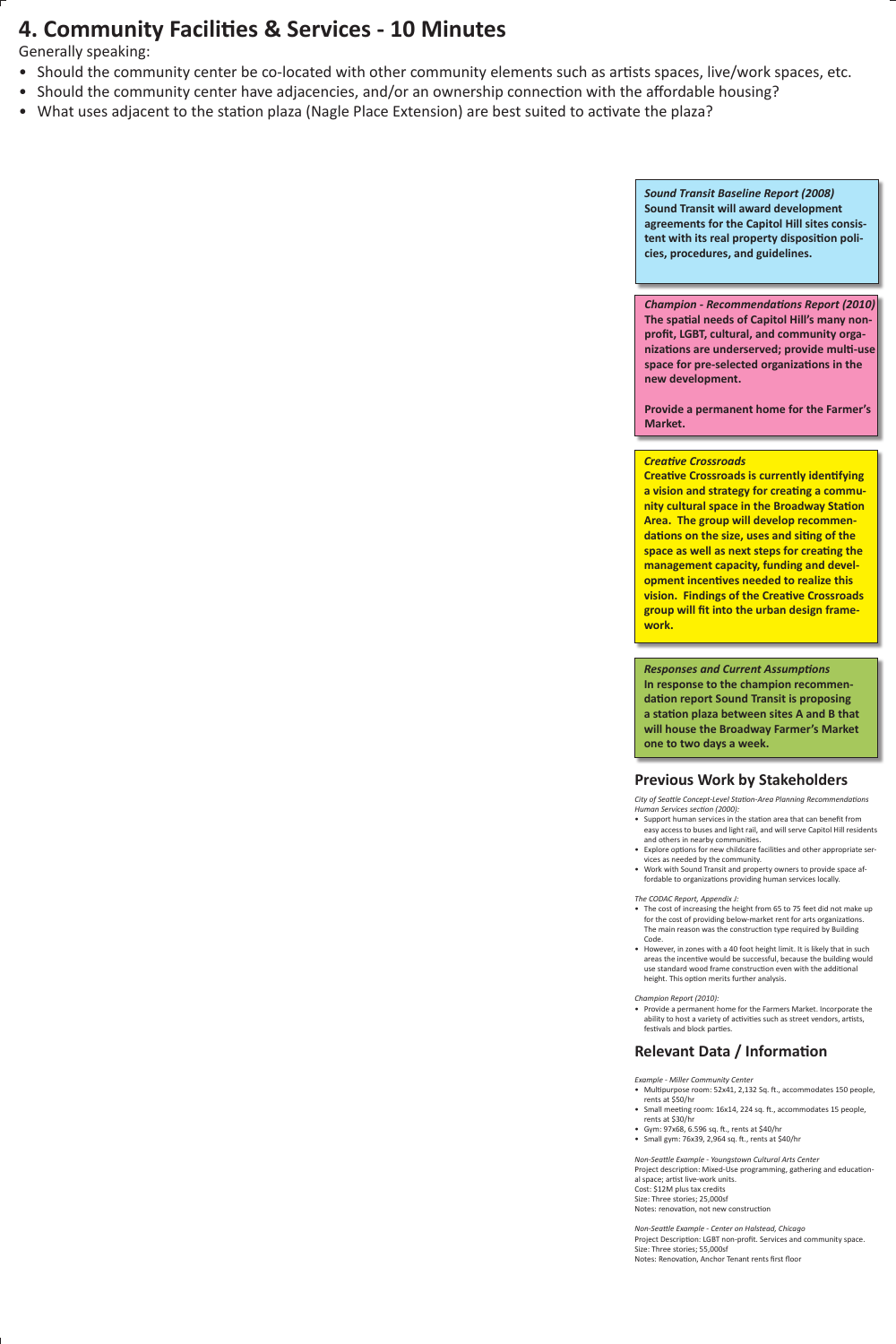# **4. Community Facilities & Services - 10 Minutes**

Generally speaking:

- Should the community center be co-located with other community elements such as artists spaces, live/work spaces, etc.
- Should the community center have adjacencies, and/or an ownership connection with the affordable housing?
- What uses adjacent to the station plaza (Nagle Place Extension) are best suited to activate the plaza?

*City of Seattle Concept-Level Station-Area Planning Recommendations Human Services section (2000):*

- Support human services in the station area that can benefit from easy access to buses and light rail, and will serve Capitol Hill residents and others in nearby communities.
- Explore options for new childcare facilities and other appropriate ser-• vices as needed by the community.
- Work with Sound Transit and property owners to provide space af-• fordable to organizations providing human services locally.

• The cost of increasing the height from 65 to 75 feet did not make up for the cost of providing below-market rent for arts organizations. The main reason was the construction type required by Building

• However, in zones with a 40 foot height limit. It is likely that in such areas the incentive would be successful, because the building would use standard wood frame construction even with the additional height. This option merits further analysis.

• Provide a permanent home for the Farmers Market. Incorporate the ability to host a variety of activities such as street vendors, artists, festivals and block parties.

*The CODAC Report, Appendix J:* 

Code.

#### *Champion Report (2010):*

*Sound Transit Baseline Report (2008)* **Sound Transit will award development agreements for the Capitol Hill sites consistent with its real property disposition policies, procedures, and guidelines.**

*Creative Crossroads*

**Creative Crossroads is currently identifying a vision and strategy for creating a community cultural space in the Broadway Station Area. The group will develop recommendations on the size, uses and siting of the space as well as next steps for creating the management capacity, funding and development incentives needed to realize this vision. Findings of the Creative Crossroads group will fit into the urban design framework.**

### **Previous Work by Stakeholders**

*Champion - Recommendations Report (2010)* **The spatial needs of Capitol Hill's many nonprofit, LGBT, cultural, and community organizations are underserved; provide multi-use space for pre-selected organizations in the new development.**

**Provide a permanent home for the Farmer's Market.**

## **Relevant Data / Information**

*Example - Miller Community Center*

- Multipurpose room: 52x41, 2,132 Sq. ft., accommodates 150 people, rents at \$50/hr
- Small meeting room: 16x14, 224 sq. ft., accommodates 15 people, rents at \$30/hr
- Gym: 97x68, 6.596 sq. ft., rents at \$40/hr •
- Small gym: 76x39, 2,964 sq. ft., rents at \$40/hr

*Non-Seattle Example - Youngstown Cultural Arts Center* Project description: Mixed-Use programming, gathering and educational space; artist live-work units. Cost: \$12M plus tax credits Size: Three stories; 25,000sf Notes: renovation, not new construction

*Non-Seattle Example - Center on Halstead, Chicago* Project Description: LGBT non-profit. Services and community space. Size: Three stories; 55,000sf Notes: Renovation, Anchor Tenant rents first floor

*Responses and Current Assumptions* **In response to the champion recommendation report Sound Transit is proposing a station plaza between sites A and B that will house the Broadway Farmer's Market one to two days a week.**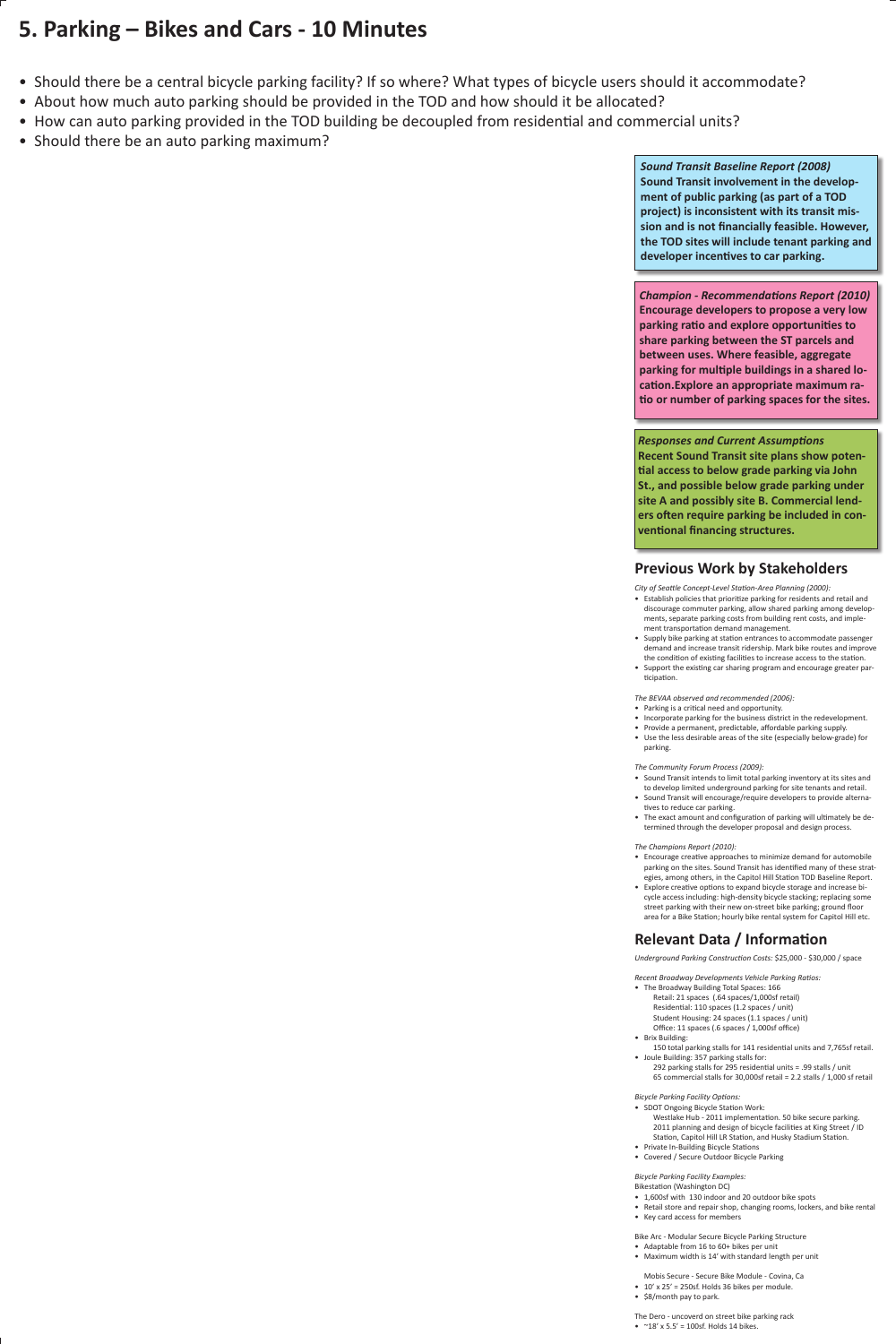# **5. Parking – Bikes and Cars - 10 Minutes**

- Should there be a central bicycle parking facility? If so where? What types of bicycle users should it accommodate?
- About how much auto parking should be provided in the TOD and how should it be allocated?
- How can auto parking provided in the TOD building be decoupled from residential and commercial units?
- Should there be an auto parking maximum?

*Sound Transit Baseline Report (2008)* **Sound Transit involvement in the development of public parking (as part of a TOD project) is inconsistent with its transit mission and is not financially feasible. However, the TOD sites will include tenant parking and developer incentives to car parking.**

*City of Seattle Concept-Level Station-Area Planning (2000):*

- Parking is a critical need and opportunity.
- Incorporate parking for the business district in the redevelopment.
- Provide a permanent, predictable, affordable parking supply.
- Use the less desirable areas of the site (especially below-grade) for parking.

- Sound Transit intends to limit total parking inventory at its sites and to develop limited underground parking for site tenants and retail.
- Sound Transit will encourage/require developers to provide alternatives to reduce car parking.
- The exact amount and configuration of parking will ultimately be determined through the developer proposal and design process.
- Establish policies that prioritize parking for residents and retail and discourage commuter parking, allow shared parking among developments, separate parking costs from building rent costs, and implement transportation demand management.
- Supply bike parking at station entrances to accommodate passenger demand and increase transit ridership. Mark bike routes and improve the condition of existing facilities to increase access to the station.
- Support the existing car sharing program and encourage greater participation.

*The BEVAA observed and recommended (2006):*

*The Community Forum Process (2009):*

• Joule Building: 357 parking stalls for: 292 parking stalls for 295 residential units = .99 stalls / unit 65 commercial stalls for 30,000sf retail = 2.2 stalls / 1,000 sf retail

*The Champions Report (2010):*

- Encourage creative approaches to minimize demand for automobile parking on the sites. Sound Transit has identified many of these strategies, among others, in the Capitol Hill Station TOD Baseline Report.
- Explore creative options to expand bicycle storage and increase bi-• cycle access including: high-density bicycle stacking; replacing some street parking with their new on-street bike parking; ground floor area for a Bike Station; hourly bike rental system for Capitol Hill etc.

### **Previous Work by Stakeholders**

*Champion - Recommendations Report (2010)* **Encourage developers to propose a very low parking ratio and explore opportunities to share parking between the ST parcels and between uses. Where feasible, aggregate parking for multiple buildings in a shared location.Explore an appropriate maximum ratio or number of parking spaces for the sites.**

#### **Relevant Data / Information**

*Responses and Current Assumptions* **Recent Sound Transit site plans show potential access to below grade parking via John St., and possible below grade parking under site A and possibly site B. Commercial lenders often require parking be included in conventional financing structures.** 

*Underground Parking Construction Costs:* \$25,000 - \$30,000 / space

*Recent Broadway Developments Vehicle Parking Ratios:*

- The Broadway Building Total Spaces: 166 Retail: 21 spaces (.64 spaces/1,000sf retail) Residential: 110 spaces (1.2 spaces / unit) Student Housing: 24 spaces (1.1 spaces / unit) Office: 11 spaces (.6 spaces / 1,000sf office)
- Brix Building:

150 total parking stalls for 141 residential units and 7,765sf retail.

*Bicycle Parking Facility Options:*

- SDOT Ongoing Bicycle Station Work: Westlake Hub - 2011 implementation. 50 bike secure parking. 2011 planning and design of bicycle facilities at King Street / ID Station, Capitol Hill LR Station, and Husky Stadium Station.
- Private In-Building Bicycle Stations
- Covered / Secure Outdoor Bicycle Parking

*Bicycle Parking Facility Examples:* Bikestation (Washington DC)

- 1,600sf with 130 indoor and 20 outdoor bike spots
- Retail store and repair shop, changing rooms, lockers, and bike rental
- Key card access for members

Bike Arc - Modular Secure Bicycle Parking Structure

- Adaptable from 16 to 60+ bikes per unit
- Maximum width is 14' with standard length per unit

Mobis Secure - Secure Bike Module - Covina, Ca

- $\cdot$  10' x 25' = 250sf. Holds 36 bikes per module.
- \$8/month pay to park.

The Dero - uncoverd on street bike parking rack

•  $\sim$  18' x 5.5' = 100sf. Holds 14 bikes.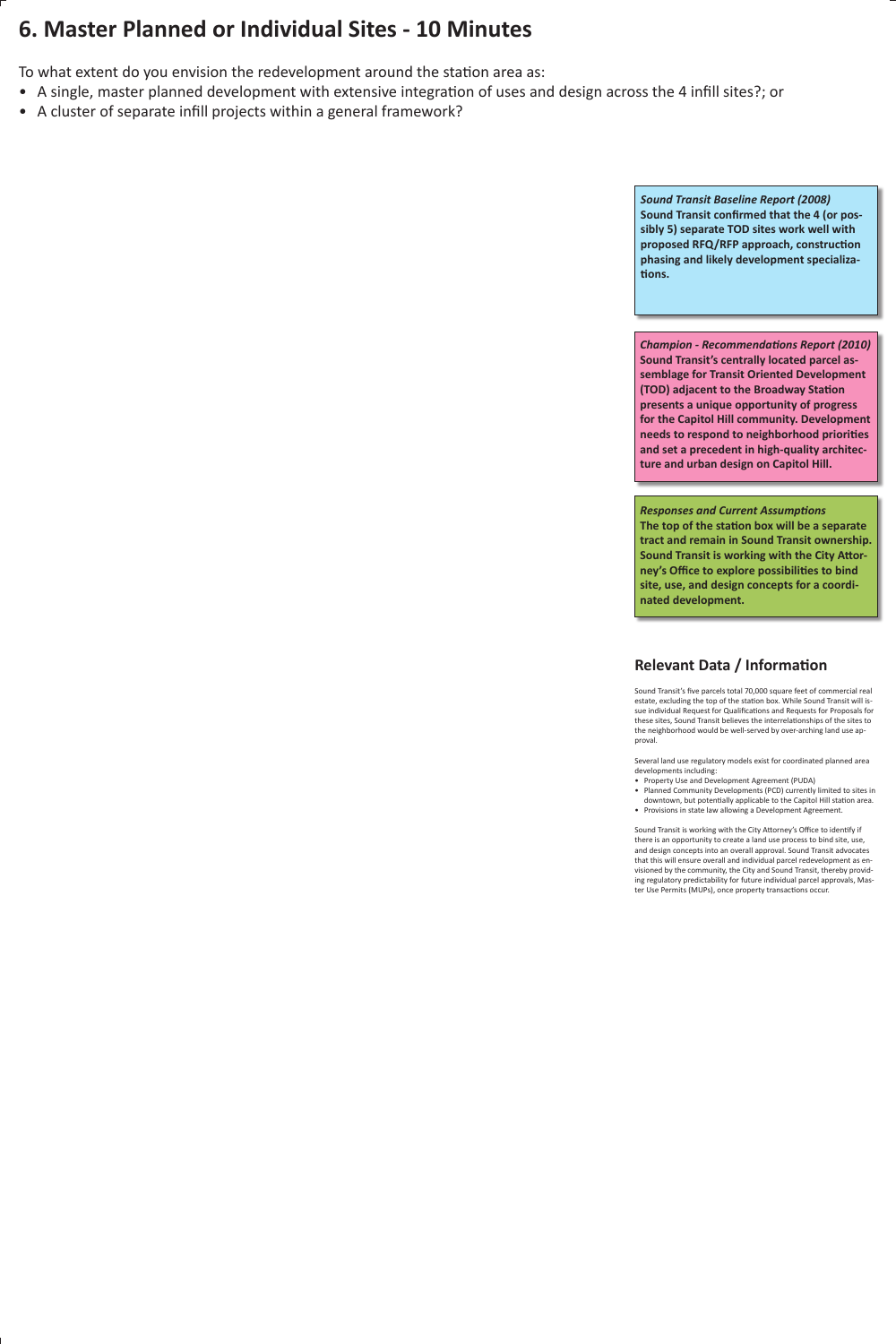# **6. Master Planned or Individual Sites - 10 Minutes**

To what extent do you envision the redevelopment around the station area as:

- A single, master planned development with extensive integration of uses and design across the 4 infill sites?; or
- A cluster of separate infill projects within a general framework?

*Sound Transit Baseline Report (2008)* **Sound Transit confirmed that the 4 (or possibly 5) separate TOD sites work well with proposed RFQ/RFP approach, construction phasing and likely development specializations.**

*Champion - Recommendations Report (2010)* **Sound Transit's centrally located parcel assemblage for Transit Oriented Development (TOD) adjacent to the Broadway Station presents a unique opportunity of progress for the Capitol Hill community. Development needs to respond to neighborhood priorities and set a precedent in high-quality architecture and urban design on Capitol Hill.** 

*Responses and Current Assumptions* **The top of the station box will be a separate tract and remain in Sound Transit ownership. Sound Transit is working with the City Attorney's Office to explore possibilities to bind site, use, and design concepts for a coordinated development.** 

Sound Transit's five parcels total 70,000 square feet of commercial real estate, excluding the top of the station box. While Sound Transit will issue individual Request for Qualifications and Requests for Proposals for these sites, Sound Transit believes the interrelationships of the sites to the neighborhood would be well-served by over-arching land use approval.

Several land use regulatory models exist for coordinated planned area developments including:

- Property Use and Development Agreement (PUDA)
- Planned Community Developments (PCD) currently limited to sites in downtown, but potentially applicable to the Capitol Hill station area.
- Provisions in state law allowing a Development Agreement.

Sound Transit is working with the City Attorney's Office to identify if there is an opportunity to create a land use process to bind site, use, and design concepts into an overall approval. Sound Transit advocates that this will ensure overall and individual parcel redevelopment as envisioned by the community, the City and Sound Transit, thereby providing regulatory predictability for future individual parcel approvals, Master Use Permits (MUPs), once property transactions occur.

### **Relevant Data / Information**